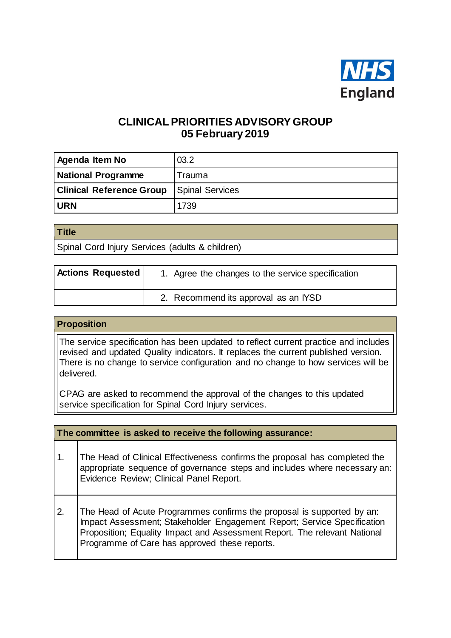

# **CLINICAL PRIORITIES ADVISORY GROUP 05 February 2019**

| <b>Agenda Item No</b>           | 03.2                   |
|---------------------------------|------------------------|
| <b>National Programme</b>       | Trauma                 |
| <b>Clinical Reference Group</b> | <b>Spinal Services</b> |
| <b>URN</b>                      | 1739                   |

| <b>Title</b>                                    |  |
|-------------------------------------------------|--|
| Spinal Cord Injury Services (adults & children) |  |

| <b>Actions Requested</b> | 1. Agree the changes to the service specification |
|--------------------------|---------------------------------------------------|
|                          | 2. Recommend its approval as an IYSD              |

#### **Proposition**

The service specification has been updated to reflect current practice and includes revised and updated Quality indicators. It replaces the current published version. There is no change to service configuration and no change to how services will be delivered.

CPAG are asked to recommend the approval of the changes to this updated service specification for Spinal Cord Injury services.

|               | The committee is asked to receive the following assurance:                                                                                                                                                                                                                      |  |  |
|---------------|---------------------------------------------------------------------------------------------------------------------------------------------------------------------------------------------------------------------------------------------------------------------------------|--|--|
| $\mathbf 1$ . | The Head of Clinical Effectiveness confirms the proposal has completed the<br>appropriate sequence of governance steps and includes where necessary an:<br>Evidence Review; Clinical Panel Report.                                                                              |  |  |
| 2.            | The Head of Acute Programmes confirms the proposal is supported by an:<br>Impact Assessment; Stakeholder Engagement Report; Service Specification<br>Proposition; Equality Impact and Assessment Report. The relevant National<br>Programme of Care has approved these reports. |  |  |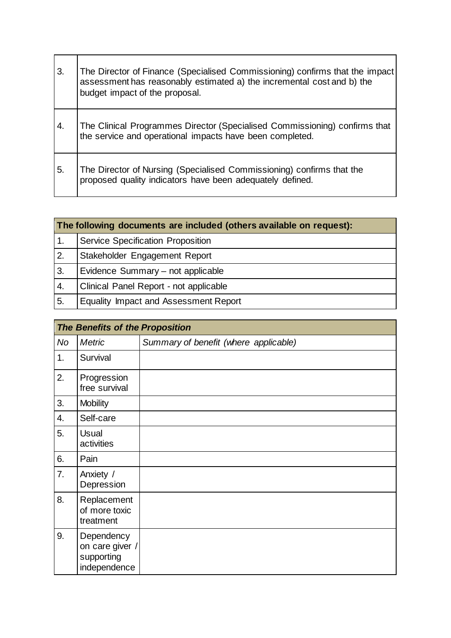| 3. | The Director of Finance (Specialised Commissioning) confirms that the impact<br>assessment has reasonably estimated a) the incremental cost and b) the<br>budget impact of the proposal. |
|----|------------------------------------------------------------------------------------------------------------------------------------------------------------------------------------------|
| 4. | The Clinical Programmes Director (Specialised Commissioning) confirms that<br>the service and operational impacts have been completed.                                                   |
| 5. | The Director of Nursing (Specialised Commissioning) confirms that the<br>proposed quality indicators have been adequately defined.                                                       |

 $\overline{\phantom{a}}$ 

|                  | The following documents are included (others available on request): |  |  |
|------------------|---------------------------------------------------------------------|--|--|
|                  | <b>Service Specification Proposition</b>                            |  |  |
| 2.               | Stakeholder Engagement Report                                       |  |  |
| 3.               | Evidence Summary - not applicable                                   |  |  |
| $\overline{4}$ . | Clinical Panel Report - not applicable                              |  |  |
| 5.               | <b>Equality Impact and Assessment Report</b>                        |  |  |

|                  | <b>The Benefits of the Proposition</b>                      |                                       |  |
|------------------|-------------------------------------------------------------|---------------------------------------|--|
| No               | <b>Metric</b>                                               | Summary of benefit (where applicable) |  |
| 1.               | Survival                                                    |                                       |  |
| 2.               | Progression<br>free survival                                |                                       |  |
| 3.               | <b>Mobility</b>                                             |                                       |  |
| $\overline{4}$ . | Self-care                                                   |                                       |  |
| 5.               | <b>Usual</b><br>activities                                  |                                       |  |
| 6.               | Pain                                                        |                                       |  |
| 7.               | Anxiety /<br>Depression                                     |                                       |  |
| 8.               | Replacement<br>of more toxic<br>treatment                   |                                       |  |
| 9.               | Dependency<br>on care giver /<br>supporting<br>independence |                                       |  |